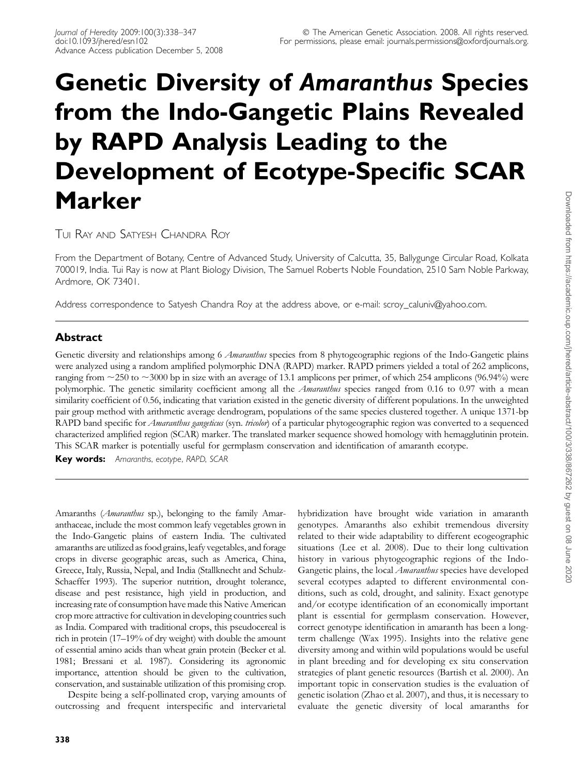# Genetic Diversity of Amaranthus Species from the Indo-Gangetic Plains Revealed by RAPD Analysis Leading to the Development of Ecotype-Specific SCAR Marker

TUI RAY AND SATYESH CHANDRA ROY

From the Department of Botany, Centre of Advanced Study, University of Calcutta, 35, Ballygunge Circular Road, Kolkata 700019, India. Tui Ray is now at Plant Biology Division, The Samuel Roberts Noble Foundation, 2510 Sam Noble Parkway, Ardmore, OK 73401.

Address correspondence to Satyesh Chandra Roy at the address above, or e-mail: scroy caluniv@yahoo.com.

## Abstract

Genetic diversity and relationships among 6 Amaranthus species from 8 phytogeographic regions of the Indo-Gangetic plains were analyzed using a random amplified polymorphic DNA (RAPD) marker. RAPD primers yielded a total of 262 amplicons, ranging from  $\sim$ 250 to  $\sim$ 3000 bp in size with an average of 13.1 amplicons per primer, of which 254 amplicons (96.94%) were polymorphic. The genetic similarity coefficient among all the *Amaranthus* species ranged from 0.16 to 0.97 with a mean similarity coefficient of 0.56, indicating that variation existed in the genetic diversity of different populations. In the unweighted pair group method with arithmetic average dendrogram, populations of the same species clustered together. A unique 1371-bp RAPD band specific for *Amaranthus gangeticus* (syn. tricolor) of a particular phytogeographic region was converted to a sequenced characterized amplified region (SCAR) marker. The translated marker sequence showed homology with hemagglutinin protein. This SCAR marker is potentially useful for germplasm conservation and identification of amaranth ecotype.

Key words: Amaranths, ecotype, RAPD, SCAR

Amaranths (Amaranthus sp.), belonging to the family Amaranthaceae, include the most common leafy vegetables grown in the Indo-Gangetic plains of eastern India. The cultivated amaranths are utilized as food grains, leafy vegetables, and forage crops in diverse geographic areas, such as America, China, Greece, Italy, Russia, Nepal, and India (Stallknecht and Schulz-Schaeffer 1993). The superior nutrition, drought tolerance, disease and pest resistance, high yield in production, and increasing rate of consumption have made this Native American crop more attractive for cultivation in developing countries such as India. Compared with traditional crops, this pseudocereal is rich in protein (17–19% of dry weight) with double the amount of essential amino acids than wheat grain protein (Becker et al. 1981; Bressani et al. 1987). Considering its agronomic importance, attention should be given to the cultivation, conservation, and sustainable utilization of this promising crop.

Despite being a self-pollinated crop, varying amounts of outcrossing and frequent interspecific and intervarietal

338

hybridization have brought wide variation in amaranth genotypes. Amaranths also exhibit tremendous diversity related to their wide adaptability to different ecogeographic situations (Lee et al. 2008). Due to their long cultivation history in various phytogeographic regions of the Indo-Gangetic plains, the local Amaranthus species have developed several ecotypes adapted to different environmental conditions, such as cold, drought, and salinity. Exact genotype and/or ecotype identification of an economically important plant is essential for germplasm conservation. However, correct genotype identification in amaranth has been a longterm challenge (Wax 1995). Insights into the relative gene diversity among and within wild populations would be useful in plant breeding and for developing ex situ conservation strategies of plant genetic resources (Bartish et al. 2000). An important topic in conservation studies is the evaluation of genetic isolation (Zhao et al. 2007), and thus, it is necessary to evaluate the genetic diversity of local amaranths for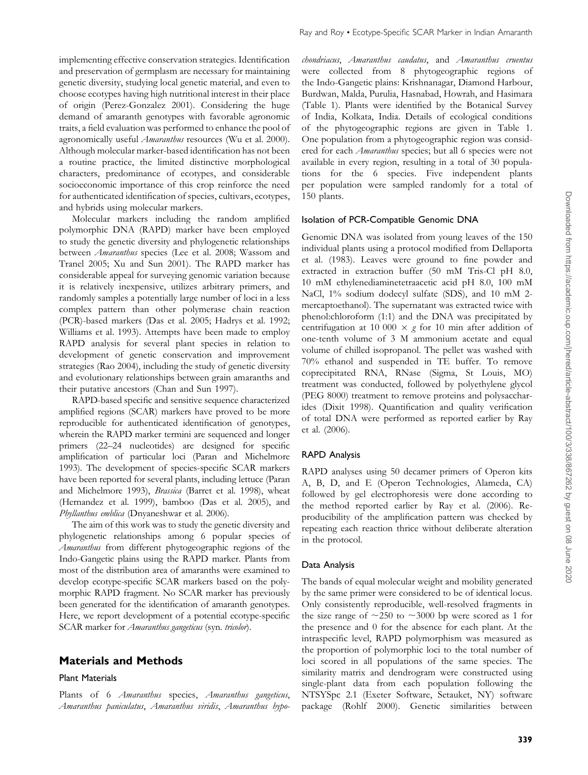implementing effective conservation strategies. Identification and preservation of germplasm are necessary for maintaining genetic diversity, studying local genetic material, and even to choose ecotypes having high nutritional interest in their place of origin (Perez-Gonzalez 2001). Considering the huge demand of amaranth genotypes with favorable agronomic traits, a field evaluation was performed to enhance the pool of agronomically useful *Amaranthus* resources (Wu et al. 2000). Although molecular marker-based identification has not been a routine practice, the limited distinctive morphological characters, predominance of ecotypes, and considerable socioeconomic importance of this crop reinforce the need for authenticated identification of species, cultivars, ecotypes, and hybrids using molecular markers.

Molecular markers including the random amplified polymorphic DNA (RAPD) marker have been employed to study the genetic diversity and phylogenetic relationships between Amaranthus species (Lee et al. 2008; Wassom and Tranel 2005; Xu and Sun 2001). The RAPD marker has considerable appeal for surveying genomic variation because it is relatively inexpensive, utilizes arbitrary primers, and randomly samples a potentially large number of loci in a less complex pattern than other polymerase chain reaction (PCR)-based markers (Das et al. 2005; Hadrys et al. 1992; Williams et al. 1993). Attempts have been made to employ RAPD analysis for several plant species in relation to development of genetic conservation and improvement strategies (Rao 2004), including the study of genetic diversity and evolutionary relationships between grain amaranths and their putative ancestors (Chan and Sun 1997).

RAPD-based specific and sensitive sequence characterized amplified regions (SCAR) markers have proved to be more reproducible for authenticated identification of genotypes, wherein the RAPD marker termini are sequenced and longer primers (22–24 nucleotides) are designed for specific amplification of particular loci (Paran and Michelmore 1993). The development of species-specific SCAR markers have been reported for several plants, including lettuce (Paran and Michelmore 1993), Brassica (Barret et al. 1998), wheat (Hernandez et al. 1999), bamboo (Das et al. 2005), and Phyllanthus emblica (Dnyaneshwar et al. 2006).

The aim of this work was to study the genetic diversity and phylogenetic relationships among 6 popular species of Amaranthus from different phytogeographic regions of the Indo-Gangetic plains using the RAPD marker. Plants from most of the distribution area of amaranths were examined to develop ecotype-specific SCAR markers based on the polymorphic RAPD fragment. No SCAR marker has previously been generated for the identification of amaranth genotypes. Here, we report development of a potential ecotype-specific SCAR marker for *Amaranthus gangeticus* (syn. tricolor).

## Materials and Methods

#### Plant Materials

Plants of 6 Amaranthus species, Amaranthus gangeticus, Amaranthus paniculatus, Amaranthus viridis, Amaranthus hypochondriacus, Amaranthus caudatus, and Amaranthus cruentus were collected from 8 phytogeographic regions of the Indo-Gangetic plains: Krishnanagar, Diamond Harbour, Burdwan, Malda, Purulia, Hasnabad, Howrah, and Hasimara (Table 1). Plants were identified by the Botanical Survey of India, Kolkata, India. Details of ecological conditions of the phytogeographic regions are given in Table 1. One population from a phytogeographic region was considered for each *Amaranthus* species; but all 6 species were not available in every region, resulting in a total of 30 populations for the 6 species. Five independent plants per population were sampled randomly for a total of 150 plants.

#### Isolation of PCR-Compatible Genomic DNA

Genomic DNA was isolated from young leaves of the 150 individual plants using a protocol modified from Dellaporta et al. (1983). Leaves were ground to fine powder and extracted in extraction buffer (50 mM Tris-Cl pH 8.0, 10 mM ethylenediaminetetraacetic acid pH 8.0, 100 mM NaCl, 1% sodium dodecyl sulfate (SDS), and 10 mM 2 mercaptoethanol). The supernatant was extracted twice with phenol:chloroform (1:1) and the DNA was precipitated by centrifugation at 10 000  $\times$  g for 10 min after addition of one-tenth volume of 3 M ammonium acetate and equal volume of chilled isopropanol. The pellet was washed with 70% ethanol and suspended in TE buffer. To remove coprecipitated RNA, RNase (Sigma, St Louis, MO) treatment was conducted, followed by polyethylene glycol (PEG 8000) treatment to remove proteins and polysaccharides (Dixit 1998). Quantification and quality verification of total DNA were performed as reported earlier by Ray et al. (2006).

## RAPD Analysis

RAPD analyses using 50 decamer primers of Operon kits A, B, D, and E (Operon Technologies, Alameda, CA) followed by gel electrophoresis were done according to the method reported earlier by Ray et al. (2006). Reproducibility of the amplification pattern was checked by repeating each reaction thrice without deliberate alteration in the protocol.

#### Data Analysis

The bands of equal molecular weight and mobility generated by the same primer were considered to be of identical locus. Only consistently reproducible, well-resolved fragments in the size range of  $\sim$ 250 to  $\sim$ 3000 bp were scored as 1 for the presence and 0 for the absence for each plant. At the intraspecific level, RAPD polymorphism was measured as the proportion of polymorphic loci to the total number of loci scored in all populations of the same species. The similarity matrix and dendrogram were constructed using single-plant data from each population following the NTSYSpc 2.1 (Exeter Software, Setauket, NY) software package (Rohlf 2000). Genetic similarities between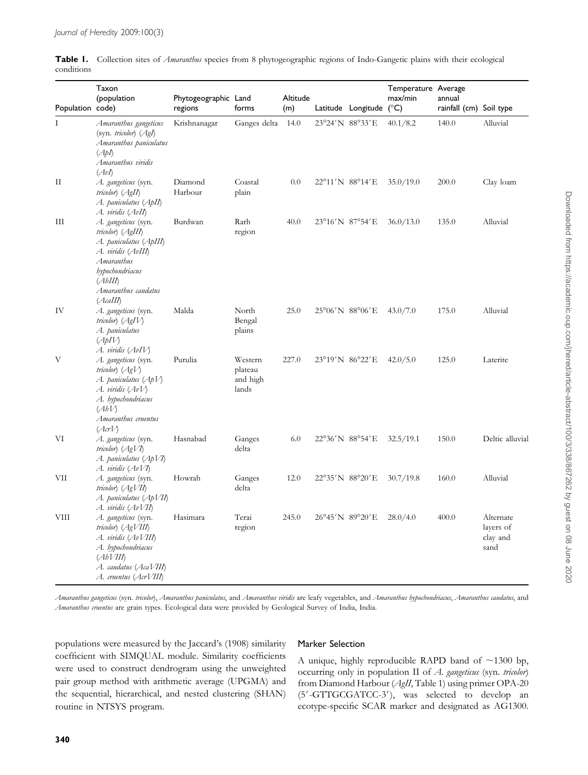|            | Table 1. Collection sites of Amaranthus species from 8 phytogeographic regions of Indo-Gangetic plains with their ecological |  |  |  |
|------------|------------------------------------------------------------------------------------------------------------------------------|--|--|--|
| conditions |                                                                                                                              |  |  |  |

| Population code) | Taxon<br>(population                                                                                                                                                       | Phytogeographic Land<br>regions | forms                                   | Altitude<br>(m) | Latitude Longitude (°C) | Temperature Average<br>max/min | annual<br>rainfall (cm) Soil type |                                            |
|------------------|----------------------------------------------------------------------------------------------------------------------------------------------------------------------------|---------------------------------|-----------------------------------------|-----------------|-------------------------|--------------------------------|-----------------------------------|--------------------------------------------|
| I                | Amaranthus gangeticus<br>(syn. tricolor) $(AgI)$<br>Amaranthus paniculatus<br>(ApI)<br>Amaranthus viridis<br>(AvI)                                                         | Krishnanagar                    | Ganges delta                            | 14.0            | 23°24'N 88°33'E         | 40.1/8.2                       | 140.0                             | Alluvial                                   |
| П                | A. gangeticus (syn.<br>tricolor) (AgII)<br>A. paniculatus (ApII)<br>A. viridis (AvII)                                                                                      | Diamond<br>Harbour              | Coastal<br>plain                        | 0.0             | 22°11'N 88°14'E         | 35.0/19.0                      | 200.0                             | Clay loam                                  |
| Ш                | A. gangeticus (syn.<br>tricolor) (AgIII)<br>A. paniculatus (ApIII)<br>A. viridis (AvIII)<br>Amaranthus<br>hypochondriacus<br>(AbIII)<br>Amaranthus caudatus<br>(AcaIII)    | Burdwan                         | Rarh<br>region                          | 40.0            | 23°16'N 87°54'E         | 36.0/13.0                      | 135.0                             | Alluvial                                   |
| IV               | A. gangeticus (syn.<br>tricolor) (AgIV)<br>A. paniculatus<br>(ApIV)<br>A. viridis (AvIV)                                                                                   | Malda                           | North<br>Bengal<br>plains               | 25.0            | 25°06'N 88°06'E         | 43.0/7.0                       | 175.0                             | Alluvial                                   |
| V                | A. gangeticus (syn.<br>tricolor) $(AgV)$<br>A. paniculatus (Ap $V$ )<br>A. viridis $(AvV)$<br>A. hypochondriacus<br>(AbV)<br>Amaranthus cruentus<br>(AcrV)                 | Purulia                         | Western<br>plateau<br>and high<br>lands | 227.0           | 23°19'N 86°22'E         | 42.0/5.0                       | 125.0                             | Laterite                                   |
| VI               | A. gangeticus (syn.<br>tricolor $(AgV)$<br>A. paniculatus (ApVI)<br>A. viridis $(AvVI)$                                                                                    | Hasnabad                        | Ganges<br>delta                         | 6.0             | 22°36'N 88°54'E         | 32.5/19.1                      | 150.0                             | Deltic alluvial                            |
| VII              | A. gangeticus (syn.<br>tricolor) $(AgVII)$<br>A. paniculatus (ApVII)                                                                                                       | Howrah                          | Ganges<br>delta                         | 12.0            | 22°35'N 88°20'E         | 30.7/19.8                      | 160.0                             | Alluvial                                   |
| VIII             | A. viridis (AvVII)<br>A. gangeticus (syn.<br>tricolor) (AgVIII)<br>A. viridis (AvVIII)<br>A. hypochondriacus<br>(AbVIII)<br>A. caudatus (AcaVIII)<br>A. cruentus (AcrVIII) | Hasimara                        | Terai<br>region                         | 245.0           | 26°45'N 89°20'E         | 28.0/4.0                       | 400.0                             | Alternate<br>layers of<br>clay and<br>sand |

Amaranthus gangeticus (syn. tricolor), Amaranthus paniculatus, and Amaranthus viridis are leafy vegetables, and Amaranthus hypochondriacus, Amaranthus caudatus, and Amaranthus cruentus are grain types. Ecological data were provided by Geological Survey of India, India.

populations were measured by the Jaccard's (1908) similarity coefficient with SIMQUAL module. Similarity coefficients were used to construct dendrogram using the unweighted pair group method with arithmetic average (UPGMA) and the sequential, hierarchical, and nested clustering (SHAN) routine in NTSYS program.

## Marker Selection

A unique, highly reproducible RAPD band of  $\sim$ 1300 bp, occurring only in population II of A. gangeticus (syn. tricolor) from Diamond Harbour (AgII, Table 1) using primer OPA-20 (5'-GTTGCGATCC-3'), was selected to develop an ecotype-specific SCAR marker and designated as AG1300.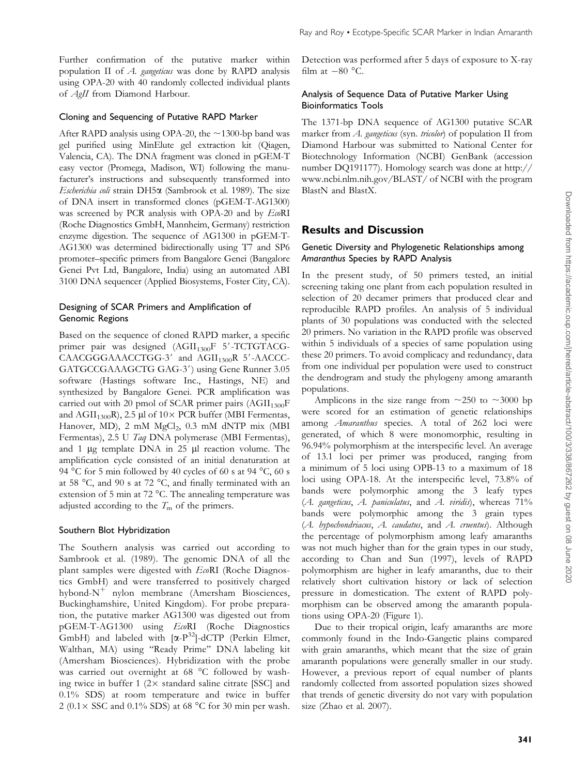Further confirmation of the putative marker within population II of A. gangeticus was done by RAPD analysis using OPA-20 with 40 randomly collected individual plants of AgII from Diamond Harbour.

#### Cloning and Sequencing of Putative RAPD Marker

After RAPD analysis using OPA-20, the  $\sim$ 1300-bp band was gel purified using MinElute gel extraction kit (Qiagen, Valencia, CA). The DNA fragment was cloned in pGEM-T easy vector (Promega, Madison, WI) following the manufacturer's instructions and subsequently transformed into Escherichia coli strain DH5 $\alpha$  (Sambrook et al. 1989). The size of DNA insert in transformed clones (pGEM-T-AG1300) was screened by PCR analysis with OPA-20 and by EcoRI (Roche Diagnostics GmbH, Mannheim, Germany) restriction enzyme digestion. The sequence of AG1300 in pGEM-T-AG1300 was determined bidirectionally using T7 and SP6 promoter–specific primers from Bangalore Genei (Bangalore Genei Pvt Ltd, Bangalore, India) using an automated ABI 3100 DNA sequencer (Applied Biosystems, Foster City, CA).

#### Designing of SCAR Primers and Amplification of Genomic Regions

Based on the sequence of cloned RAPD marker, a specific primer pair was designed (AGII<sub>1300</sub>F 5'-TCTGTACG- $CAACGGAAACCTGG-3'$  and  $AGII_{1300}R$  5'-AACCC-GATGCCGAAAGCTG GAG-3') using Gene Runner 3.05 software (Hastings software Inc., Hastings, NE) and synthesized by Bangalore Genei. PCR amplification was carried out with 20 pmol of SCAR primer pairs  $(AGII<sub>1300</sub>F)$ and  $\text{AGII}_{1300}$ R), 2.5 µl of 10× PCR buffer (MBI Fermentas, Hanover, MD), 2 mM  $MgCl<sub>2</sub>$ , 0.3 mM dNTP mix (MBI Fermentas), 2.5 U Taq DNA polymerase (MBI Fermentas), and 1  $\mu$ g template DNA in 25  $\mu$ l reaction volume. The amplification cycle consisted of an initial denaturation at 94 °C for 5 min followed by 40 cycles of 60 s at 94 °C, 60 s at 58 °C, and 90 s at 72 °C, and finally terminated with an extension of 5 min at 72 °C. The annealing temperature was adjusted according to the  $T<sub>m</sub>$  of the primers.

#### Southern Blot Hybridization

The Southern analysis was carried out according to Sambrook et al. (1989). The genomic DNA of all the plant samples were digested with EcoRI (Roche Diagnostics GmbH) and were transferred to positively charged hybond- $N^+$  nylon membrane (Amersham Biosciences, Buckinghamshire, United Kingdom). For probe preparation, the putative marker AG1300 was digested out from pGEM-T-AG1300 using EcoRI (Roche Diagnostics GmbH) and labeled with  $[\alpha-P^{32}]$ -dCTP (Perkin Elmer, Walthan, MA) using ''Ready Prime'' DNA labeling kit (Amersham Biosciences). Hybridization with the probe was carried out overnight at 68 °C followed by washing twice in buffer 1  $(2 \times$  standard saline citrate [SSC] and 0.1% SDS) at room temperature and twice in buffer  $2 (0.1 \times SSC$  and  $0.1\%$  SDS) at 68 °C for 30 min per wash.

Detection was performed after 5 days of exposure to X-ray film at  $-80$  °C.

### Analysis of Sequence Data of Putative Marker Using Bioinformatics Tools

The 1371-bp DNA sequence of AG1300 putative SCAR marker from A. gangeticus (syn. tricolor) of population II from Diamond Harbour was submitted to National Center for Biotechnology Information (NCBI) GenBank (accession number DQ191177). Homology search was done at [http://](http://www.ncbi.nlm.nih.gov/BLAST/) [www.ncbi.nlm.nih.gov/BLAST/](http://www.ncbi.nlm.nih.gov/BLAST/) of NCBI with the program BlastN and BlastX.

## Results and Discussion

#### Genetic Diversity and Phylogenetic Relationships among Amaranthus Species by RAPD Analysis

In the present study, of 50 primers tested, an initial screening taking one plant from each population resulted in selection of 20 decamer primers that produced clear and reproducible RAPD profiles. An analysis of 5 individual plants of 30 populations was conducted with the selected 20 primers. No variation in the RAPD profile was observed within 5 individuals of a species of same population using these 20 primers. To avoid complicacy and redundancy, data from one individual per population were used to construct the dendrogram and study the phylogeny among amaranth populations.

Amplicons in the size range from  $\sim$ 250 to  $\sim$ 3000 bp were scored for an estimation of genetic relationships among *Amaranthus* species. A total of 262 loci were generated, of which 8 were monomorphic, resulting in 96.94% polymorphism at the interspecific level. An average of 13.1 loci per primer was produced, ranging from a minimum of 5 loci using OPB-13 to a maximum of 18 loci using OPA-18. At the interspecific level, 73.8% of bands were polymorphic among the 3 leafy types (A. gangeticus, A. paniculatus, and A. viridis), whereas  $71\%$ bands were polymorphic among the 3 grain types (A. hypochondriacus, A. caudatus, and A. cruentus). Although the percentage of polymorphism among leafy amaranths was not much higher than for the grain types in our study, according to Chan and Sun (1997), levels of RAPD polymorphism are higher in leafy amaranths, due to their relatively short cultivation history or lack of selection pressure in domestication. The extent of RAPD polymorphism can be observed among the amaranth populations using OPA-20 (Figure 1).

Due to their tropical origin, leafy amaranths are more commonly found in the Indo-Gangetic plains compared with grain amaranths, which meant that the size of grain amaranth populations were generally smaller in our study. However, a previous report of equal number of plants randomly collected from assorted population sizes showed that trends of genetic diversity do not vary with population size (Zhao et al. 2007).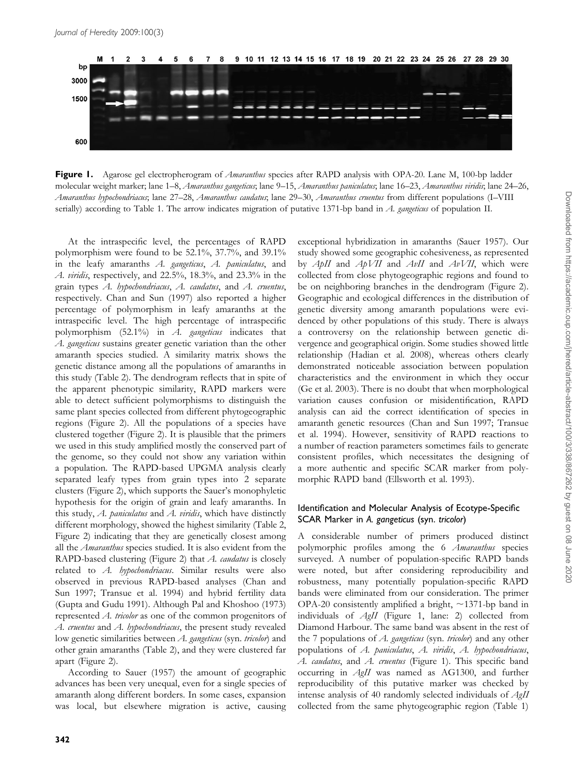

Figure 1. Agarose gel electropherogram of *Amaranthus* species after RAPD analysis with OPA-20. Lane M, 100-bp ladder molecular weight marker; lane 1–8, *Amaranthus gangeticus*; lane 9–15, *Amaranthus paniculatus*; lane 16–23, *Amaranthus viridis*; lane 24–26, Amaranthus hypochondriacus; lane 27–28, Amaranthus caudatus; lane 29–30, Amaranthus cruentus from different populations (I–VIII serially) according to Table 1. The arrow indicates migration of putative 1371-bp band in  $A$ . gangeticus of population II.

At the intraspecific level, the percentages of RAPD polymorphism were found to be 52.1%, 37.7%, and 39.1% in the leafy amaranths A. gangeticus, A. paniculatus, and A. viridis, respectively, and 22.5%, 18.3%, and 23.3% in the grain types  $A$ . hypochondriacus,  $A$ . caudatus, and  $A$ . cruentus, respectively. Chan and Sun (1997) also reported a higher percentage of polymorphism in leafy amaranths at the intraspecific level. The high percentage of intraspecific polymorphism (52.1%) in A. gangeticus indicates that A. *gangeticus* sustains greater genetic variation than the other amaranth species studied. A similarity matrix shows the genetic distance among all the populations of amaranths in this study (Table 2). The dendrogram reflects that in spite of the apparent phenotypic similarity, RAPD markers were able to detect sufficient polymorphisms to distinguish the same plant species collected from different phytogeographic regions (Figure 2). All the populations of a species have clustered together (Figure 2). It is plausible that the primers we used in this study amplified mostly the conserved part of the genome, so they could not show any variation within a population. The RAPD-based UPGMA analysis clearly separated leafy types from grain types into 2 separate clusters (Figure 2), which supports the Sauer's monophyletic hypothesis for the origin of grain and leafy amaranths. In this study,  $A$ . *paniculatus* and  $A$ . *viridis*, which have distinctly different morphology, showed the highest similarity (Table 2, Figure 2) indicating that they are genetically closest among all the *Amaranthus* species studied. It is also evident from the RAPD-based clustering (Figure 2) that A. caudatus is closely related to A. hypochondriacus. Similar results were also observed in previous RAPD-based analyses (Chan and Sun 1997; Transue et al. 1994) and hybrid fertility data (Gupta and Gudu 1991). Although Pal and Khoshoo (1973) represented A. tricolor as one of the common progenitors of A. cruentus and A. hypochondriacus, the present study revealed low genetic similarities between A. gangeticus (syn. tricolor) and other grain amaranths (Table 2), and they were clustered far apart (Figure 2).

According to Sauer (1957) the amount of geographic advances has been very unequal, even for a single species of amaranth along different borders. In some cases, expansion was local, but elsewhere migration is active, causing

exceptional hybridization in amaranths (Sauer 1957). Our study showed some geographic cohesiveness, as represented by ApII and ApVII and AvII and AvVII, which were collected from close phytogeographic regions and found to be on neighboring branches in the dendrogram (Figure 2). Geographic and ecological differences in the distribution of genetic diversity among amaranth populations were evidenced by other populations of this study. There is always a controversy on the relationship between genetic divergence and geographical origin. Some studies showed little relationship (Hadian et al. 2008), whereas others clearly demonstrated noticeable association between population characteristics and the environment in which they occur (Ge et al. 2003). There is no doubt that when morphological variation causes confusion or misidentification, RAPD analysis can aid the correct identification of species in amaranth genetic resources (Chan and Sun 1997; Transue et al. 1994). However, sensitivity of RAPD reactions to a number of reaction parameters sometimes fails to generate consistent profiles, which necessitates the designing of a more authentic and specific SCAR marker from polymorphic RAPD band (Ellsworth et al. 1993).

#### Identification and Molecular Analysis of Ecotype-Specific SCAR Marker in A. gangeticus (syn. tricolor)

A considerable number of primers produced distinct polymorphic profiles among the 6 Amaranthus species surveyed. A number of population-specific RAPD bands were noted, but after considering reproducibility and robustness, many potentially population-specific RAPD bands were eliminated from our consideration. The primer OPA-20 consistently amplified a bright,  $\sim$ 1371-bp band in individuals of AgII (Figure 1, lane: 2) collected from Diamond Harbour. The same band was absent in the rest of the 7 populations of  $A$ . gangeticus (syn. tricolor) and any other populations of A. paniculatus, A. viridis, A. hypochondriacus, A. caudatus, and A. cruentus (Figure 1). This specific band occurring in AgII was named as AG1300, and further reproducibility of this putative marker was checked by intense analysis of 40 randomly selected individuals of AgII collected from the same phytogeographic region (Table 1)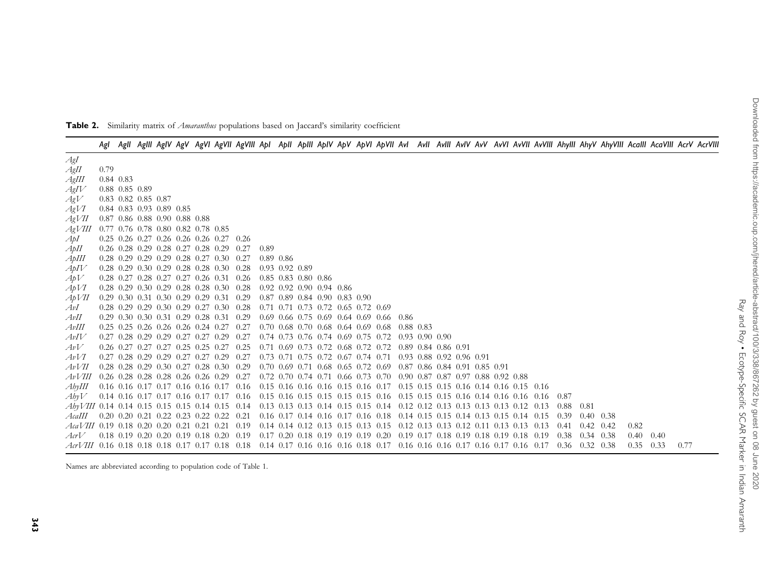Table 2. Similarity matrix of *Amaranthus* populations based on Jaccard's similarity coefficient

|                                                                                                                                   |      |                             |  |                                    |                                                         |                                                                                                                         |      |                                           |  |  |                                                        |  |  |  |  |      |                   |                   |      | Agi Agil Agili AgiV AgV AgVi AgVil AgVili Api Apili ApiV ApV ApVi ApVil Avi Avil Avily AvV AvVi AvVil AvVili Ahyli AhyV AhyVili Acalil AcaVili AcrV AcrVili |  |
|-----------------------------------------------------------------------------------------------------------------------------------|------|-----------------------------|--|------------------------------------|---------------------------------------------------------|-------------------------------------------------------------------------------------------------------------------------|------|-------------------------------------------|--|--|--------------------------------------------------------|--|--|--|--|------|-------------------|-------------------|------|-------------------------------------------------------------------------------------------------------------------------------------------------------------|--|
| AgI                                                                                                                               |      |                             |  |                                    |                                                         |                                                                                                                         |      |                                           |  |  |                                                        |  |  |  |  |      |                   |                   |      |                                                                                                                                                             |  |
| AgII                                                                                                                              | 0.79 |                             |  |                                    |                                                         |                                                                                                                         |      |                                           |  |  |                                                        |  |  |  |  |      |                   |                   |      |                                                                                                                                                             |  |
| AgIII                                                                                                                             |      | 0.84 0.83                   |  |                                    |                                                         |                                                                                                                         |      |                                           |  |  |                                                        |  |  |  |  |      |                   |                   |      |                                                                                                                                                             |  |
| AgIV                                                                                                                              |      | $0.88$ 0.85 0.89            |  |                                    |                                                         |                                                                                                                         |      |                                           |  |  |                                                        |  |  |  |  |      |                   |                   |      |                                                                                                                                                             |  |
| AgV                                                                                                                               |      | $0.83$ $0.82$ $0.85$ $0.87$ |  |                                    |                                                         |                                                                                                                         |      |                                           |  |  |                                                        |  |  |  |  |      |                   |                   |      |                                                                                                                                                             |  |
| AgVI                                                                                                                              |      | 0.84 0.83 0.93 0.89 0.85    |  |                                    |                                                         |                                                                                                                         |      |                                           |  |  |                                                        |  |  |  |  |      |                   |                   |      |                                                                                                                                                             |  |
| AgVII                                                                                                                             |      |                             |  | $0.87$ 0.86 0.88 0.90 0.88 0.88    |                                                         |                                                                                                                         |      |                                           |  |  |                                                        |  |  |  |  |      |                   |                   |      |                                                                                                                                                             |  |
| AgVIII                                                                                                                            |      |                             |  | 0.77 0.76 0.78 0.80 0.82 0.78 0.85 |                                                         |                                                                                                                         |      |                                           |  |  |                                                        |  |  |  |  |      |                   |                   |      |                                                                                                                                                             |  |
| ApI                                                                                                                               |      |                             |  |                                    | 0.25 0.26 0.27 0.26 0.26 0.26 0.27 0.26                 |                                                                                                                         |      |                                           |  |  |                                                        |  |  |  |  |      |                   |                   |      |                                                                                                                                                             |  |
| АрИ                                                                                                                               |      |                             |  |                                    | $0.26$ $0.28$ $0.29$ $0.28$ $0.27$ $0.28$ $0.29$ $0.27$ |                                                                                                                         | 0.89 |                                           |  |  |                                                        |  |  |  |  |      |                   |                   |      |                                                                                                                                                             |  |
| АрШ                                                                                                                               |      |                             |  |                                    | $0.28$ 0.29 0.29 0.29 0.28 0.27 0.30 0.27               |                                                                                                                         |      | $0.89$ $0.86$                             |  |  |                                                        |  |  |  |  |      |                   |                   |      |                                                                                                                                                             |  |
| A pIV                                                                                                                             |      |                             |  |                                    | $0.28$ 0.29 0.30 0.29 0.28 0.28 0.30 0.28               |                                                                                                                         |      | $0.93$ $0.92$ $0.89$                      |  |  |                                                        |  |  |  |  |      |                   |                   |      |                                                                                                                                                             |  |
| ApV                                                                                                                               |      |                             |  |                                    |                                                         | 0.28 0.27 0.28 0.27 0.27 0.26 0.31 0.26 0.85 0.83 0.80 0.86                                                             |      |                                           |  |  |                                                        |  |  |  |  |      |                   |                   |      |                                                                                                                                                             |  |
| ApVI                                                                                                                              |      |                             |  |                                    | $0.28$ 0.29 0.30 0.29 0.28 0.28 0.30 0.28               |                                                                                                                         |      | $0.92$ $0.92$ $0.90$ $0.94$ $0.86$        |  |  |                                                        |  |  |  |  |      |                   |                   |      |                                                                                                                                                             |  |
| $A$ p $VII$                                                                                                                       |      |                             |  |                                    | $0.29$ $0.30$ $0.31$ $0.30$ $0.29$ $0.29$ $0.31$ $0.29$ |                                                                                                                         |      | $0.87$ $0.89$ $0.84$ $0.90$ $0.83$ $0.90$ |  |  |                                                        |  |  |  |  |      |                   |                   |      |                                                                                                                                                             |  |
| AvI                                                                                                                               |      |                             |  |                                    | $0.28$ 0.29 0.29 0.30 0.29 0.27 0.30 0.28               |                                                                                                                         |      | 0.71 0.71 0.73 0.72 0.65 0.72 0.69        |  |  |                                                        |  |  |  |  |      |                   |                   |      |                                                                                                                                                             |  |
| AvII                                                                                                                              |      |                             |  |                                    | 0.29 0.30 0.30 0.31 0.29 0.28 0.31 0.29                 |                                                                                                                         |      |                                           |  |  | $0.69$ 0.66 0.75 0.69 0.64 0.69 0.66 0.86              |  |  |  |  |      |                   |                   |      |                                                                                                                                                             |  |
| AvIII                                                                                                                             |      |                             |  |                                    |                                                         | 0.25 0.25 0.26 0.26 0.26 0.24 0.27 0.27 0.70 0.68 0.70 0.68 0.64 0.69 0.68 0.88 0.83                                    |      |                                           |  |  |                                                        |  |  |  |  |      |                   |                   |      |                                                                                                                                                             |  |
| AvIV                                                                                                                              |      |                             |  |                                    |                                                         | 0.27 0.28 0.29 0.27 0.27 0.27 0.27 0.27 0.74 0.73 0.76 0.74 0.69 0.75 0.72 0.93 0.90 0.90                               |      |                                           |  |  |                                                        |  |  |  |  |      |                   |                   |      |                                                                                                                                                             |  |
| AvV                                                                                                                               |      |                             |  |                                    | $0.26$ $0.27$ $0.27$ $0.27$ $0.25$ $0.25$ $0.27$ $0.25$ |                                                                                                                         |      |                                           |  |  | 0.71 0.69 0.73 0.72 0.68 0.72 0.72 0.89 0.84 0.86 0.91 |  |  |  |  |      |                   |                   |      |                                                                                                                                                             |  |
| AvV1                                                                                                                              |      |                             |  |                                    |                                                         | 0.27 0.28 0.29 0.29 0.27 0.27 0.29 0.27 0.73 0.71 0.75 0.72 0.67 0.74 0.71 0.93 0.88 0.92 0.96 0.91                     |      |                                           |  |  |                                                        |  |  |  |  |      |                   |                   |      |                                                                                                                                                             |  |
| AvVII                                                                                                                             |      |                             |  |                                    |                                                         | 0.28 0.28 0.29 0.30 0.27 0.28 0.30 0.29 0.70 0.69 0.71 0.68 0.65 0.72 0.69 0.87 0.86 0.84 0.91 0.85 0.91                |      |                                           |  |  |                                                        |  |  |  |  |      |                   |                   |      |                                                                                                                                                             |  |
| AvVIII                                                                                                                            |      |                             |  |                                    |                                                         | 0.26 0.28 0.28 0.26 0.26 0.26 0.29 0.27 0.72 0.70 0.74 0.71 0.66 0.73 0.70 0.90 0.87 0.87 0.97 0.88 0.92 0.88           |      |                                           |  |  |                                                        |  |  |  |  |      |                   |                   |      |                                                                                                                                                             |  |
| AbyIII                                                                                                                            |      |                             |  |                                    |                                                         | 0.16 0.16 0.17 0.17 0.16 0.16 0.17 0.16 0.15 0.16 0.16 0.16 0.16 0.15 0.16 0.17 0.15 0.15 0.15 0.16 0.14 0.16 0.15 0.16 |      |                                           |  |  |                                                        |  |  |  |  |      |                   |                   |      |                                                                                                                                                             |  |
| AbvV                                                                                                                              |      |                             |  |                                    |                                                         |                                                                                                                         |      |                                           |  |  |                                                        |  |  |  |  |      |                   |                   |      |                                                                                                                                                             |  |
| AbyVIII 0.14 0.14 0.15 0.15 0.15 0.14 0.15 0.14 0.13 0.13 0.13 0.14 0.15 0.15 0.14 0.12 0.12 0.13 0.13 0.13 0.13 0.13 0.12 0.13   |      |                             |  |                                    |                                                         |                                                                                                                         |      |                                           |  |  |                                                        |  |  |  |  | 0.88 | 0.81              |                   |      |                                                                                                                                                             |  |
| AcaIII 0.20 0.20 0.21 0.22 0.23 0.22 0.21 0.16 0.17 0.14 0.16 0.17 0.16 0.18 0.14 0.15 0.15 0.14 0.13 0.15 0.14 0.15              |      |                             |  |                                    |                                                         |                                                                                                                         |      |                                           |  |  |                                                        |  |  |  |  | 0.39 | $0.40\quad 0.38$  |                   |      |                                                                                                                                                             |  |
| <i>AcaVIII</i> 0.19 0.18 0.20 0.20 0.21 0.21 0.21 0.19 0.14 0.14 0.12 0.13 0.15 0.13 0.15 0.12 0.13 0.13 0.12 0.11 0.13 0.13 0.13 |      |                             |  |                                    |                                                         |                                                                                                                         |      |                                           |  |  |                                                        |  |  |  |  | 0.41 | $0.42 \quad 0.42$ | 0.82              |      |                                                                                                                                                             |  |
| $ArV$ 0.18 0.19 0.20 0.20 0.19 0.18 0.20 0.19 0.17 0.20 0.18 0.19 0.19 0.19 0.20 0.19 0.17 0.18 0.19 0.18 0.19 0.18 0.19 0.38     |      |                             |  |                                    |                                                         |                                                                                                                         |      |                                           |  |  |                                                        |  |  |  |  |      | $0.34$ 0.38       | 0.40              | 0.40 |                                                                                                                                                             |  |
| $ArVIII$ 0.16 0.18 0.18 0.18 0.17 0.17 0.18 0.18 0.14 0.17 0.16 0.16 0.16 0.18 0.17 0.16 0.16 0.16 0.17 0.16 0.17 0.16 0.17 0.36  |      |                             |  |                                    |                                                         |                                                                                                                         |      |                                           |  |  |                                                        |  |  |  |  |      | 0.32 0.38         | $0.35 \quad 0.33$ |      | 0.77                                                                                                                                                        |  |

Names are abbreviated according to population code of Table 1.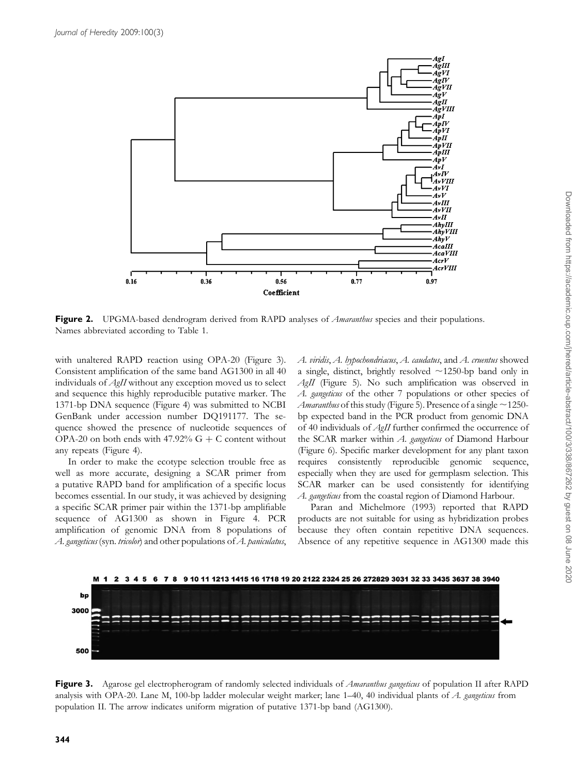

Figure 2. UPGMA-based dendrogram derived from RAPD analyses of *Amaranthus* species and their populations. Names abbreviated according to Table 1.

with unaltered RAPD reaction using OPA-20 (Figure 3). Consistent amplification of the same band AG1300 in all 40 individuals of AgII without any exception moved us to select and sequence this highly reproducible putative marker. The 1371-bp DNA sequence (Figure 4) was submitted to NCBI GenBank under accession number DQ191177. The sequence showed the presence of nucleotide sequences of OPA-20 on both ends with 47.92%  $G + C$  content without any repeats (Figure 4).

In order to make the ecotype selection trouble free as well as more accurate, designing a SCAR primer from a putative RAPD band for amplification of a specific locus becomes essential. In our study, it was achieved by designing a specific SCAR primer pair within the 1371-bp amplifiable sequence of AG1300 as shown in Figure 4. PCR amplification of genomic DNA from 8 populations of A. gangeticus (syn. tricolor) and other populations of A. paniculatus,

A. viridis, A. hypochondriacus, A. caudatus, and A. cruentus showed a single, distinct, brightly resolved  $\sim$ 1250-bp band only in AgII (Figure 5). No such amplification was observed in A. gangeticus of the other 7 populations or other species of *Amaranthus* of this study (Figure 5). Presence of a single  $\sim$ 1250bp expected band in the PCR product from genomic DNA of 40 individuals of AgII further confirmed the occurrence of the SCAR marker within A. gangeticus of Diamond Harbour (Figure 6). Specific marker development for any plant taxon requires consistently reproducible genomic sequence, especially when they are used for germplasm selection. This SCAR marker can be used consistently for identifying A. gangeticus from the coastal region of Diamond Harbour.

Paran and Michelmore (1993) reported that RAPD products are not suitable for using as hybridization probes because they often contain repetitive DNA sequences. Absence of any repetitive sequence in AG1300 made this



Figure 3. Agarose gel electropherogram of randomly selected individuals of Amaranthus gangeticus of population II after RAPD analysis with OPA-20. Lane M, 100-bp ladder molecular weight marker; lane 1-40, 40 individual plants of A. gangeticus from population II. The arrow indicates uniform migration of putative 1371-bp band (AG1300).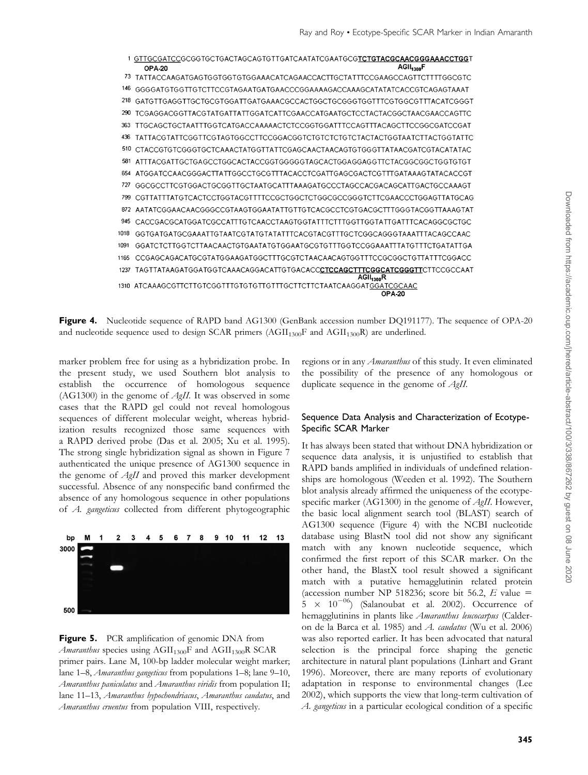

Figure 4. Nucleotide sequence of RAPD band AG1300 (GenBank accession number DQ191177). The sequence of OPA-20 and nucleotide sequence used to design SCAR primers  $(AGII<sub>1300</sub>F$  and  $AGII<sub>1300</sub>R)$  are underlined.

marker problem free for using as a hybridization probe. In the present study, we used Southern blot analysis to establish the occurrence of homologous sequence (AG1300) in the genome of  $AgII$ . It was observed in some cases that the RAPD gel could not reveal homologous sequences of different molecular weight, whereas hybridization results recognized those same sequences with a RAPD derived probe (Das et al. 2005; Xu et al. 1995). The strong single hybridization signal as shown in Figure 7 authenticated the unique presence of AG1300 sequence in the genome of AgII and proved this marker development successful. Absence of any nonspecific band confirmed the absence of any homologous sequence in other populations of A. gangeticus collected from different phytogeographic



**Figure 5.** PCR amplification of genomic DNA from Amaranthus species using  $AGII_{1300}F$  and  $AGII_{1300}R$  SCAR primer pairs. Lane M, 100-bp ladder molecular weight marker; lane 1–8, *Amaranthus gangeticus* from populations 1–8; lane 9–10, Amaranthus paniculatus and Amaranthus viridis from population II; lane 11–13, Amaranthus hypochondriacus, Amaranthus caudatus, and Amaranthus cruentus from population VIII, respectively.

regions or in any *Amaranthus* of this study. It even eliminated the possibility of the presence of any homologous or duplicate sequence in the genome of *AgII*.

#### Sequence Data Analysis and Characterization of Ecotype-Specific SCAR Marker

It has always been stated that without DNA hybridization or sequence data analysis, it is unjustified to establish that RAPD bands amplified in individuals of undefined relationships are homologous (Weeden et al. 1992). The Southern blot analysis already affirmed the uniqueness of the ecotypespecific marker (AG1300) in the genome of *AgII*. However, the basic local alignment search tool (BLAST) search of AG1300 sequence (Figure 4) with the NCBI nucleotide database using BlastN tool did not show any significant match with any known nucleotide sequence, which confirmed the first report of this SCAR marker. On the other hand, the BlastX tool result showed a significant match with a putative hemagglutinin related protein (accession number NP 518236; score bit 56.2,  $E$  value =  $5 \times 10^{-06}$ ) (Salanoubat et al. 2002). Occurrence of hemagglutinins in plants like Amaranthus leucocarpus (Calderon de la Barca et al. 1985) and A. caudatus (Wu et al. 2006) was also reported earlier. It has been advocated that natural selection is the principal force shaping the genetic architecture in natural plant populations (Linhart and Grant 1996). Moreover, there are many reports of evolutionary adaptation in response to environmental changes (Lee 2002), which supports the view that long-term cultivation of A. gangeticus in a particular ecological condition of a specific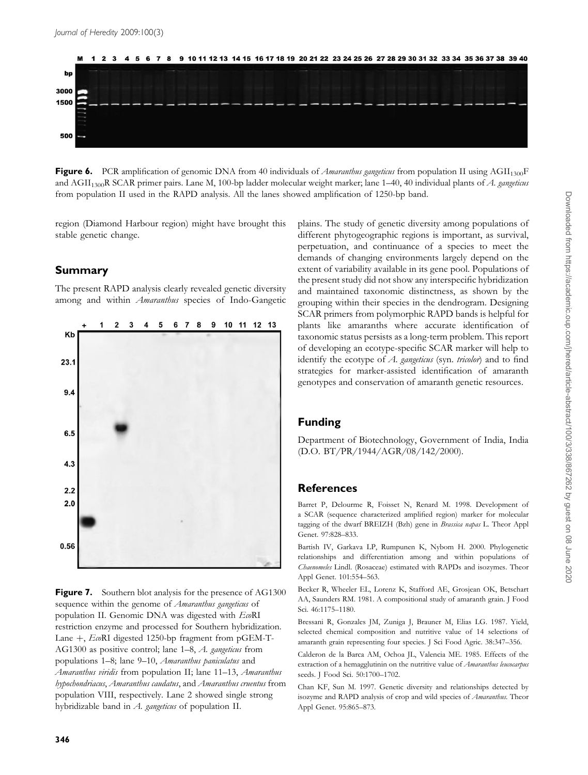

Figure 6. PCR amplification of genomic DNA from 40 individuals of *Amaranthus gangeticus* from population II using  $AGII_{1300}F$ and AGII<sub>1300</sub>R SCAR primer pairs. Lane M, 100-bp ladder molecular weight marker; lane 1–40, 40 individual plants of A. gangeticus from population II used in the RAPD analysis. All the lanes showed amplification of 1250-bp band.

region (Diamond Harbour region) might have brought this stable genetic change.

## Summary

The present RAPD analysis clearly revealed genetic diversity among and within *Amaranthus* species of Indo-Gangetic



**Figure 7.** Southern blot analysis for the presence of AG1300 sequence within the genome of Amaranthus gangeticus of population II. Genomic DNA was digested with EcoRI restriction enzyme and processed for Southern hybridization. Lane  $+$ , EcoRI digested 1250-bp fragment from pGEM-T-AG1300 as positive control; lane 1–8, A. gangeticus from populations 1–8; lane 9–10, Amaranthus paniculatus and Amaranthus viridis from population II; lane 11-13, Amaranthus hypochondriacus, Amaranthus caudatus, and Amaranthus cruentus from population VIII, respectively. Lane 2 showed single strong hybridizable band in A. gangeticus of population II.

plains. The study of genetic diversity among populations of different phytogeographic regions is important, as survival, perpetuation, and continuance of a species to meet the demands of changing environments largely depend on the extent of variability available in its gene pool. Populations of the present study did not show any interspecific hybridization and maintained taxonomic distinctness, as shown by the grouping within their species in the dendrogram. Designing SCAR primers from polymorphic RAPD bands is helpful for plants like amaranths where accurate identification of taxonomic status persists as a long-term problem. This report of developing an ecotype-specific SCAR marker will help to identify the ecotype of A. gangeticus (syn. tricolor) and to find strategies for marker-assisted identification of amaranth genotypes and conservation of amaranth genetic resources.

## Funding

Department of Biotechnology, Government of India, India (D.O. BT/PR/1944/AGR/08/142/2000).

## References

Barret P, Delourme R, Foisset N, Renard M. 1998. Development of a SCAR (sequence characterized amplified region) marker for molecular tagging of the dwarf BREIZH (Bzh) gene in Brassica napas L. Theor Appl Genet. 97:828–833.

Bartish IV, Garkava LP, Rumpunen K, Nybom H. 2000. Phylogenetic relationships and differentiation among and within populations of Chaenomeles Lindl. (Rosaceae) estimated with RAPDs and isozymes. Theor Appl Genet. 101:554–563.

Becker R, Wheeler EL, Lorenz K, Stafford AE, Grosjean OK, Betschart AA, Saunders RM. 1981. A compositional study of amaranth grain. J Food Sci. 46:1175–1180.

Bressani R, Gonzales JM, Zuniga J, Brauner M, Elias LG. 1987. Yield, selected chemical composition and nutritive value of 14 selections of amaranth grain representing four species. J Sci Food Agric. 38:347–356.

Calderon de la Barca AM, Ochoa JL, Valencia ME. 1985. Effects of the extraction of a hemagglutinin on the nutritive value of Amaranthus leucocarpus seeds. J Food Sci. 50:1700–1702.

Chan KF, Sun M. 1997. Genetic diversity and relationships detected by isozyme and RAPD analysis of crop and wild species of Amaranthus. Theor Appl Genet. 95:865–873.